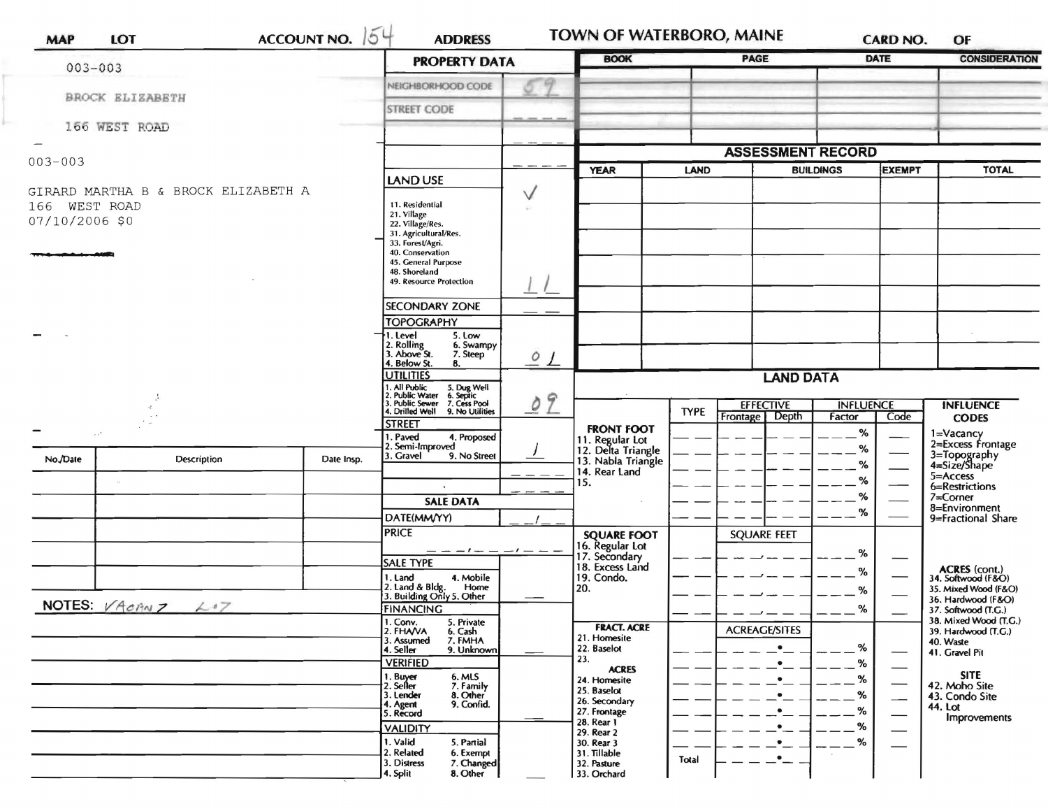| <b>MAP</b>                      | LOT                                 | <b>ACCOUNT NO.</b>                                                                                                                    | 154<br><b>ADDRESS</b>                                                             |                            | <b>TOWN OF WATERBORO, MAINE</b>                                              |                                   |                            | <b>CARD NO.</b>      | OF                                                                          |                                                                |
|---------------------------------|-------------------------------------|---------------------------------------------------------------------------------------------------------------------------------------|-----------------------------------------------------------------------------------|----------------------------|------------------------------------------------------------------------------|-----------------------------------|----------------------------|----------------------|-----------------------------------------------------------------------------|----------------------------------------------------------------|
| $003 - 003$                     |                                     | <b>PROPERTY DATA</b>                                                                                                                  | <b>BOOK</b>                                                                       |                            | <b>PAGE</b>                                                                  | <b>DATE</b>                       |                            | <b>CONSIDERATION</b> |                                                                             |                                                                |
|                                 |                                     |                                                                                                                                       | NEIGHBORHOOD CODE                                                                 |                            |                                                                              |                                   |                            |                      |                                                                             |                                                                |
|                                 | <b>BROCK ELIZABETH</b>              |                                                                                                                                       | <b>STREET CODE</b>                                                                |                            |                                                                              |                                   |                            |                      |                                                                             |                                                                |
|                                 | 166 WEST ROAD                       |                                                                                                                                       |                                                                                   |                            |                                                                              |                                   |                            |                      |                                                                             |                                                                |
|                                 |                                     | <b>LAND USE</b><br>$\vee$<br>11. Residential<br>21. Village<br>22. Village/Res.<br>31. Agricultural/Res.                              |                                                                                   | <b>ASSESSMENT RECORD</b>   |                                                                              |                                   |                            |                      |                                                                             |                                                                |
| $003 - 003$                     |                                     |                                                                                                                                       |                                                                                   | <b>YEAR</b><br><b>LAND</b> |                                                                              |                                   | <b>BUILDINGS</b><br>EXEMPT |                      | <b>TOTAL</b>                                                                |                                                                |
| 166 WEST ROAD<br>07/10/2006 \$0 | GIRARD MARTHA B & BROCK ELIZABETH A |                                                                                                                                       |                                                                                   |                            |                                                                              |                                   |                            |                      |                                                                             |                                                                |
|                                 |                                     | 33. Forest/Agri.<br>40. Conservation<br>45. General Purpose<br>48. Shoreland<br>49. Resource Protection                               |                                                                                   |                            |                                                                              |                                   |                            |                      |                                                                             |                                                                |
|                                 |                                     |                                                                                                                                       | <b>SECONDARY ZONE</b>                                                             |                            |                                                                              |                                   |                            |                      |                                                                             |                                                                |
|                                 |                                     |                                                                                                                                       | <b>TOPOGRAPHY</b>                                                                 |                            |                                                                              |                                   |                            |                      |                                                                             |                                                                |
|                                 |                                     | 5. Low<br>I. Level<br>2. Rolling<br>3. Above St.<br>6. Swampy<br>7. Steep<br>4. Below St.<br>8.                                       | $Q_L$                                                                             |                            |                                                                              |                                   |                            |                      |                                                                             |                                                                |
|                                 |                                     |                                                                                                                                       | <b>UTILITIES</b>                                                                  |                            | <b>LAND DATA</b>                                                             |                                   |                            |                      |                                                                             |                                                                |
|                                 |                                     | 1. All Public<br>2. Public Water<br>3. Public Sewer<br>5. Dug Well<br>6. Septic<br>7. Cess Pool<br>4. Drilled Well<br>9. No Utilities | $\tilde{Z}$<br>$\mathcal{O}$                                                      |                            | <b>TYPE</b>                                                                  | <b>EFFECTIVE</b>                  | <b>INFLUENCE</b>           |                      | <b>INFLUENCE</b>                                                            |                                                                |
| $\sim$                          |                                     |                                                                                                                                       | <b>STREET</b>                                                                     |                            | <b>FRONT FOOT</b>                                                            |                                   | Frontage Depth             | Factor<br>%          | Code                                                                        | <b>CODES</b>                                                   |
| No./Date                        | Description                         | Date Insp.                                                                                                                            | 1. Paved<br>4. Proposed<br>2. Semi-Improved<br>3. Gravel<br>9. No Street          |                            | 11. Regular Lot<br>12. Delta Triangle<br>13. Nabla Triangle<br>14. Rear Land |                                   |                            | %<br>%               |                                                                             | 1=Vacancy<br>2=Excess Frontage<br>3=Topography<br>4=Size/Shape |
|                                 |                                     |                                                                                                                                       |                                                                                   |                            | 15.                                                                          |                                   |                            | ℅                    |                                                                             | 5=Access<br>6=Restrictions                                     |
|                                 |                                     |                                                                                                                                       | <b>SALE DATA</b>                                                                  |                            |                                                                              |                                   |                            | %                    |                                                                             | $7 =$ Corner<br>8=Environment                                  |
|                                 |                                     |                                                                                                                                       | DATE(MM/YY)                                                                       |                            |                                                                              |                                   |                            | %                    |                                                                             | 9=Fractional Share                                             |
|                                 |                                     |                                                                                                                                       | <b>PRICE</b><br>— — — I — —                                                       |                            | <b>SQUARE FOOT</b><br>16. Regular Lot                                        |                                   | <b>SQUARE FEET</b>         |                      |                                                                             |                                                                |
|                                 |                                     |                                                                                                                                       | <b>SALE TYPE</b>                                                                  |                            | 17. Secondary<br>18. Excess Land                                             |                                   |                            | %<br>%               |                                                                             |                                                                |
|                                 |                                     |                                                                                                                                       | 1. Land<br>4. Mobile<br>2. Land & Bldg. Home<br>3. Building Only 5. Other<br>Home |                            | 19. Condo.<br>20.                                                            |                                   |                            | %                    |                                                                             | ACRES (cont.)<br>34. Softwood (F&O)<br>35. Mixed Wood (F&O)    |
|                                 | NOTES: $VAcmZ$ $L17$                | <b>FINANCING</b>                                                                                                                      |                                                                                   |                            |                                                                              |                                   | ℅                          |                      | 36. Hardwood (F&O)<br>37. Softwood (T.G.)                                   |                                                                |
|                                 |                                     | 1. Conv.<br>5. Private<br>2. FHAVA<br>6. Cash<br>7. FMHA<br>3. Assumed<br>4. Seller<br>9. Unknown                                     |                                                                                   |                            |                                                                              | <b>ACREAGE/SITES</b><br>$\bullet$ | %                          |                      | 38. Mixed Wood (T.G.)<br>39. Hardwood (T.G.)<br>40. Waste<br>41. Gravel Pit |                                                                |
|                                 |                                     |                                                                                                                                       | <b>VERIFIED</b><br>1. Buyer<br>6. MLS                                             |                            | 23.<br><b>ACRES</b>                                                          |                                   | $\bullet$                  | %                    |                                                                             | <b>SITE</b>                                                    |
|                                 |                                     |                                                                                                                                       | 2. Seller<br>7. Family<br>3. Lender<br>8. Other                                   |                            | 24. Homesite<br>25. Baselot                                                  |                                   | $\bullet$<br>$\cdot_-$     | %<br>%               |                                                                             | 42. Moho Site<br>43. Condo Site                                |
|                                 |                                     |                                                                                                                                       | 9. Confid.<br>4. Agent<br>5. Record                                               |                            | 26. Secondary<br>27. Frontage                                                |                                   | ٠                          | %                    | $\overline{\phantom{0}}$                                                    | 44. Lot                                                        |
|                                 |                                     |                                                                                                                                       | <b>VALIDITY</b>                                                                   |                            | 28. Rear 1<br>29. Rear 2                                                     |                                   |                            | %                    |                                                                             | Improvements                                                   |
|                                 |                                     |                                                                                                                                       | 1. Valid<br>5. Partial<br>2. Related<br>6. Exempt                                 |                            | 30. Rear 3<br>31. Tillable                                                   |                                   |                            | %                    |                                                                             |                                                                |
|                                 |                                     |                                                                                                                                       | 3. Distress<br>7. Changed<br>4. Split<br>8. Other                                 |                            | 32. Pasture<br>33. Orchard                                                   | Total                             |                            |                      |                                                                             |                                                                |